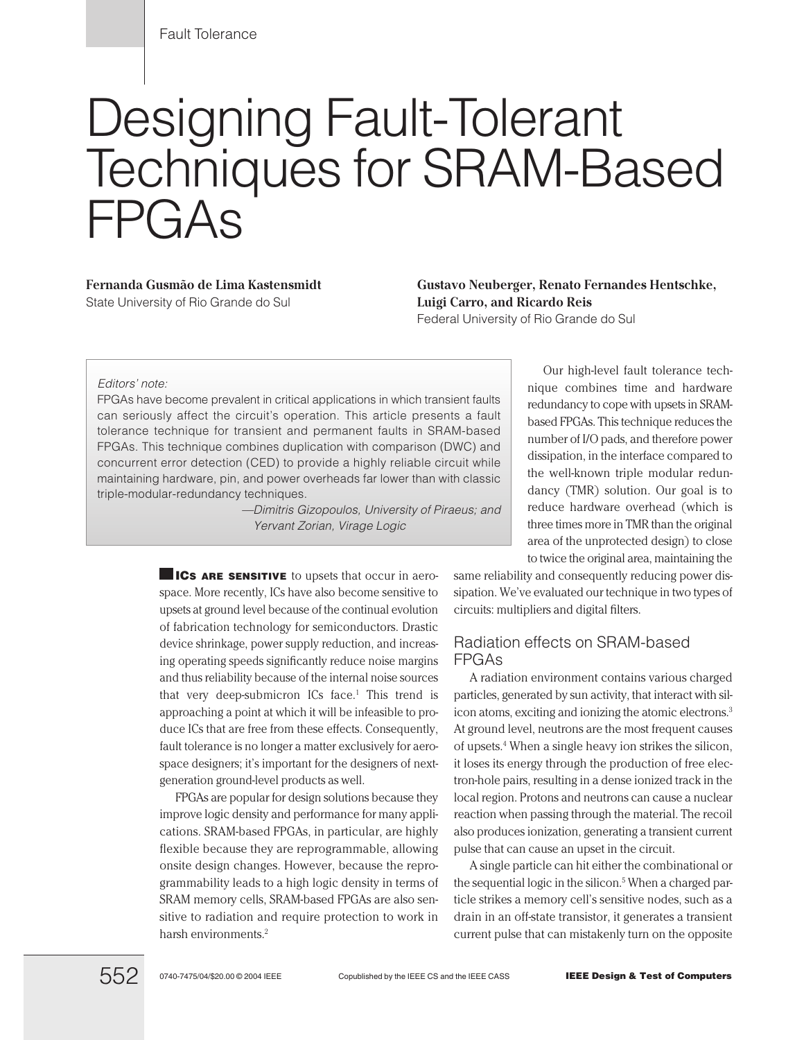# Designing Fault-Tolerant Techniques for SRAM-Based FPGAs

**Fernanda Gusmão de Lima Kastensmidt**

State University of Rio Grande do Sul

**Gustavo Neuberger, Renato Fernandes Hentschke, Luigi Carro, and Ricardo Reis**

Federal University of Rio Grande do Sul

#### *Editors' note:*

FPGAs have become prevalent in critical applications in which transient faults can seriously affect the circuit's operation. This article presents a fault tolerance technique for transient and permanent faults in SRAM-based FPGAs. This technique combines duplication with comparison (DWC) and concurrent error detection (CED) to provide a highly reliable circuit while maintaining hardware, pin, and power overheads far lower than with classic triple-modular-redundancy techniques.

> *—Dimitris Gizopoulos, University of Piraeus; and Yervant Zorian, Virage Logic*

**ICS ARE SENSITIVE** to upsets that occur in aerospace. More recently, ICs have also become sensitive to upsets at ground level because of the continual evolution of fabrication technology for semiconductors. Drastic device shrinkage, power supply reduction, and increasing operating speeds significantly reduce noise margins and thus reliability because of the internal noise sources that very deep-submicron  $ICs$  face.<sup>1</sup> This trend is approaching a point at which it will be infeasible to produce ICs that are free from these effects. Consequently, fault tolerance is no longer a matter exclusively for aerospace designers; it's important for the designers of nextgeneration ground-level products as well.

FPGAs are popular for design solutions because they improve logic density and performance for many applications. SRAM-based FPGAs, in particular, are highly flexible because they are reprogrammable, allowing onsite design changes. However, because the reprogrammability leads to a high logic density in terms of SRAM memory cells, SRAM-based FPGAs are also sensitive to radiation and require protection to work in harsh environments.<sup>2</sup>

Our high-level fault tolerance technique combines time and hardware redundancy to cope with upsets in SRAMbased FPGAs. This technique reduces the number of I/O pads, and therefore power dissipation, in the interface compared to the well-known triple modular redundancy (TMR) solution. Our goal is to reduce hardware overhead (which is three times more in TMR than the original area of the unprotected design) to close to twice the original area, maintaining the

same reliability and consequently reducing power dissipation. We've evaluated our technique in two types of circuits: multipliers and digital filters.

# Radiation effects on SRAM-based FPGAs

A radiation environment contains various charged particles, generated by sun activity, that interact with silicon atoms, exciting and ionizing the atomic electrons.3 At ground level, neutrons are the most frequent causes of upsets.4 When a single heavy ion strikes the silicon, it loses its energy through the production of free electron-hole pairs, resulting in a dense ionized track in the local region. Protons and neutrons can cause a nuclear reaction when passing through the material. The recoil also produces ionization, generating a transient current pulse that can cause an upset in the circuit.

A single particle can hit either the combinational or the sequential logic in the silicon.<sup>5</sup> When a charged particle strikes a memory cell's sensitive nodes, such as a drain in an off-state transistor, it generates a transient current pulse that can mistakenly turn on the opposite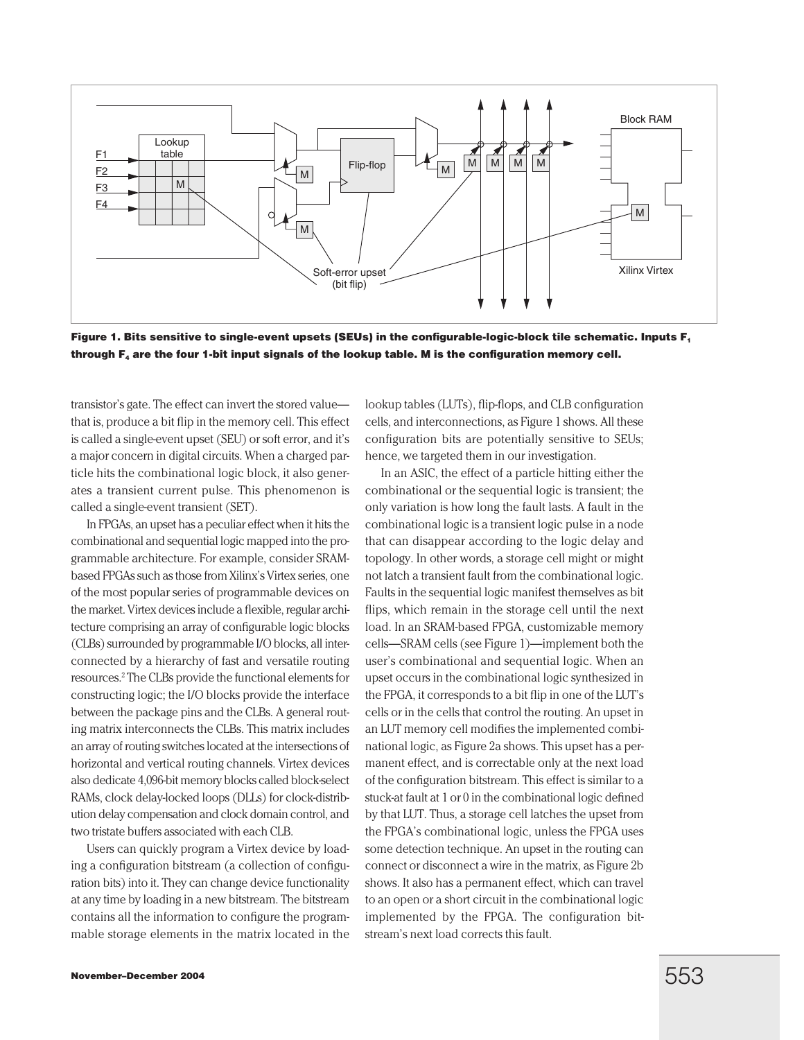

**Figure 1. Bits sensitive to single-event upsets (SEUs) in the configurable-logic-block tile schematic. Inputs F1 through F4 are the four 1-bit input signals of the lookup table. M is the configuration memory cell.**

transistor's gate. The effect can invert the stored value that is, produce a bit flip in the memory cell. This effect is called a single-event upset (SEU) or soft error, and it's a major concern in digital circuits. When a charged particle hits the combinational logic block, it also generates a transient current pulse. This phenomenon is called a single-event transient (SET).

In FPGAs, an upset has a peculiar effect when it hits the combinational and sequential logic mapped into the programmable architecture. For example, consider SRAMbased FPGAs such as those from Xilinx's Virtex series, one of the most popular series of programmable devices on the market. Virtex devices include a flexible, regular architecture comprising an array of configurable logic blocks (CLBs) surrounded by programmable I/O blocks, all interconnected by a hierarchy of fast and versatile routing resources.2 The CLBs provide the functional elements for constructing logic; the I/O blocks provide the interface between the package pins and the CLBs. A general routing matrix interconnects the CLBs. This matrix includes an array of routing switches located at the intersections of horizontal and vertical routing channels. Virtex devices also dedicate 4,096-bit memory blocks called block-select RAMs, clock delay-locked loops (DLLs) for clock-distribution delay compensation and clock domain control, and two tristate buffers associated with each CLB.

Users can quickly program a Virtex device by loading a configuration bitstream (a collection of configuration bits) into it. They can change device functionality at any time by loading in a new bitstream. The bitstream contains all the information to configure the programmable storage elements in the matrix located in the lookup tables (LUTs), flip-flops, and CLB configuration cells, and interconnections, as Figure 1 shows. All these configuration bits are potentially sensitive to SEUs; hence, we targeted them in our investigation.

In an ASIC, the effect of a particle hitting either the combinational or the sequential logic is transient; the only variation is how long the fault lasts. A fault in the combinational logic is a transient logic pulse in a node that can disappear according to the logic delay and topology. In other words, a storage cell might or might not latch a transient fault from the combinational logic. Faults in the sequential logic manifest themselves as bit flips, which remain in the storage cell until the next load. In an SRAM-based FPGA, customizable memory cells—SRAM cells (see Figure 1)—implement both the user's combinational and sequential logic. When an upset occurs in the combinational logic synthesized in the FPGA, it corresponds to a bit flip in one of the LUT's cells or in the cells that control the routing. An upset in an LUT memory cell modifies the implemented combinational logic, as Figure 2a shows. This upset has a permanent effect, and is correctable only at the next load of the configuration bitstream. This effect is similar to a stuck-at fault at 1 or 0 in the combinational logic defined by that LUT. Thus, a storage cell latches the upset from the FPGA's combinational logic, unless the FPGA uses some detection technique. An upset in the routing can connect or disconnect a wire in the matrix, as Figure 2b shows. It also has a permanent effect, which can travel to an open or a short circuit in the combinational logic implemented by the FPGA. The configuration bitstream's next load corrects this fault.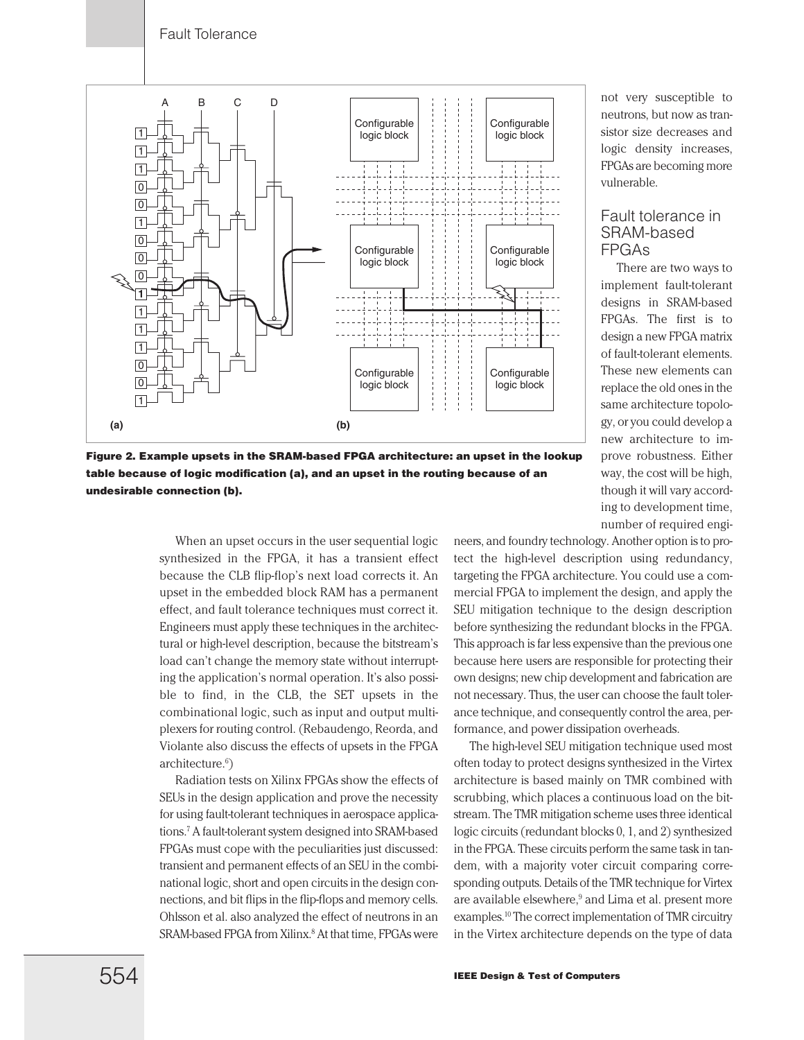

**Figure 2. Example upsets in the SRAM-based FPGA architecture: an upset in the lookup table because of logic modification (a), and an upset in the routing because of an undesirable connection (b).**

When an upset occurs in the user sequential logic synthesized in the FPGA, it has a transient effect because the CLB flip-flop's next load corrects it. An upset in the embedded block RAM has a permanent effect, and fault tolerance techniques must correct it. Engineers must apply these techniques in the architectural or high-level description, because the bitstream's load can't change the memory state without interrupting the application's normal operation. It's also possible to find, in the CLB, the SET upsets in the combinational logic, such as input and output multiplexers for routing control. (Rebaudengo, Reorda, and Violante also discuss the effects of upsets in the FPGA architecture.<sup>6</sup>)

Radiation tests on Xilinx FPGAs show the effects of SEUs in the design application and prove the necessity for using fault-tolerant techniques in aerospace applications.7 A fault-tolerant system designed into SRAM-based FPGAs must cope with the peculiarities just discussed: transient and permanent effects of an SEU in the combinational logic, short and open circuits in the design connections, and bit flips in the flip-flops and memory cells. Ohlsson et al. also analyzed the effect of neutrons in an SRAM-based FPGA from Xilinx.<sup>8</sup> At that time, FPGAs were not very susceptible to neutrons, but now as transistor size decreases and logic density increases, FPGAs are becoming more vulnerable.

# Fault tolerance in SRAM-based FPGAs

There are two ways to implement fault-tolerant designs in SRAM-based FPGAs. The first is to design a new FPGA matrix of fault-tolerant elements. These new elements can replace the old ones in the same architecture topology, or you could develop a new architecture to improve robustness. Either way, the cost will be high, though it will vary according to development time, number of required engi-

neers, and foundry technology. Another option is to protect the high-level description using redundancy, targeting the FPGA architecture. You could use a commercial FPGA to implement the design, and apply the SEU mitigation technique to the design description before synthesizing the redundant blocks in the FPGA. This approach is far less expensive than the previous one because here users are responsible for protecting their own designs; new chip development and fabrication are not necessary. Thus, the user can choose the fault tolerance technique, and consequently control the area, performance, and power dissipation overheads.

The high-level SEU mitigation technique used most often today to protect designs synthesized in the Virtex architecture is based mainly on TMR combined with scrubbing, which places a continuous load on the bitstream. The TMR mitigation scheme uses three identical logic circuits (redundant blocks 0, 1, and 2) synthesized in the FPGA. These circuits perform the same task in tandem, with a majority voter circuit comparing corresponding outputs. Details of the TMR technique for Virtex are available elsewhere,<sup>9</sup> and Lima et al. present more examples.10 The correct implementation of TMR circuitry in the Virtex architecture depends on the type of data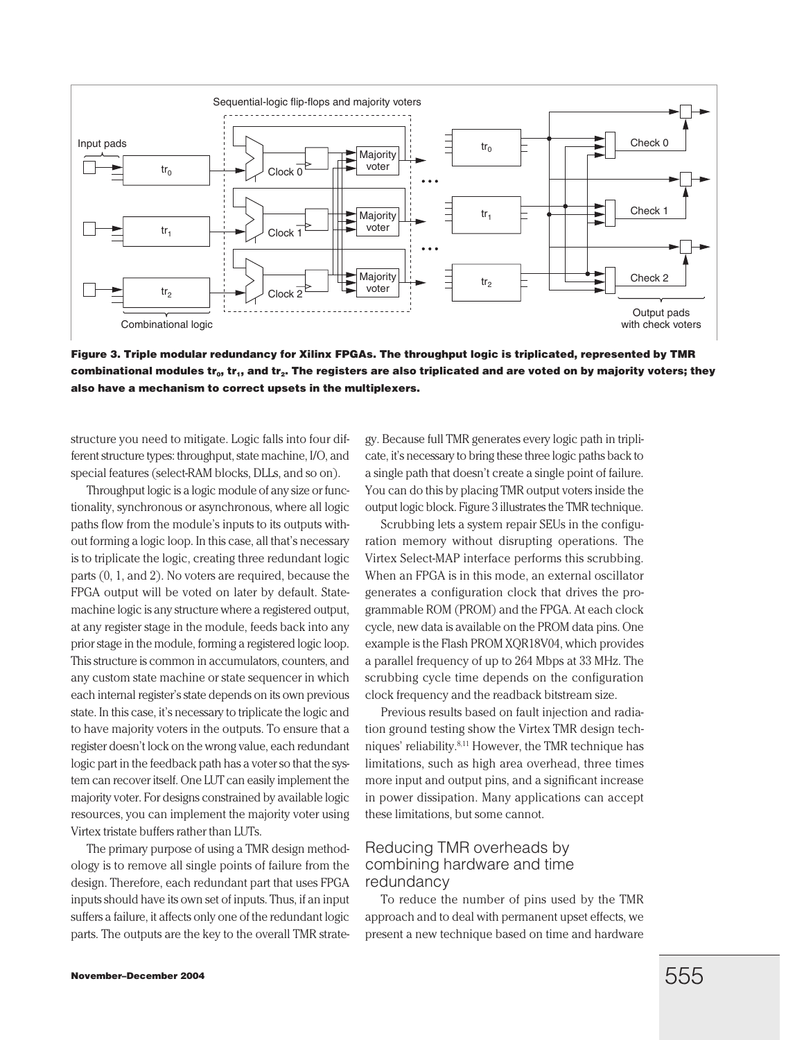

**Figure 3. Triple modular redundancy for Xilinx FPGAs. The throughput logic is triplicated, represented by TMR** combinational modules tr<sub>o</sub>, tr<sub>1</sub>, and tr<sub>2</sub>. The registers are also triplicated and are voted on by majority voters; they **also have a mechanism to correct upsets in the multiplexers.**

structure you need to mitigate. Logic falls into four different structure types: throughput, state machine, I/O, and special features (select-RAM blocks, DLLs, and so on).

Throughput logic is a logic module of any size or functionality, synchronous or asynchronous, where all logic paths flow from the module's inputs to its outputs without forming a logic loop. In this case, all that's necessary is to triplicate the logic, creating three redundant logic parts (0, 1, and 2). No voters are required, because the FPGA output will be voted on later by default. Statemachine logic is any structure where a registered output, at any register stage in the module, feeds back into any prior stage in the module, forming a registered logic loop. This structure is common in accumulators, counters, and any custom state machine or state sequencer in which each internal register's state depends on its own previous state. In this case, it's necessary to triplicate the logic and to have majority voters in the outputs. To ensure that a register doesn't lock on the wrong value, each redundant logic part in the feedback path has a voter so that the system can recover itself. One LUT can easily implement the majority voter. For designs constrained by available logic resources, you can implement the majority voter using Virtex tristate buffers rather than LUTs.

The primary purpose of using a TMR design methodology is to remove all single points of failure from the design. Therefore, each redundant part that uses FPGA inputs should have its own set of inputs. Thus, if an input suffers a failure, it affects only one of the redundant logic parts. The outputs are the key to the overall TMR strategy. Because full TMR generates every logic path in triplicate, it's necessary to bring these three logic paths back to a single path that doesn't create a single point of failure. You can do this by placing TMR output voters inside the output logic block. Figure 3 illustrates the TMR technique.

Scrubbing lets a system repair SEUs in the configuration memory without disrupting operations. The Virtex Select-MAP interface performs this scrubbing. When an FPGA is in this mode, an external oscillator generates a configuration clock that drives the programmable ROM (PROM) and the FPGA. At each clock cycle, new data is available on the PROM data pins. One example is the Flash PROM XQR18V04, which provides a parallel frequency of up to 264 Mbps at 33 MHz. The scrubbing cycle time depends on the configuration clock frequency and the readback bitstream size.

Previous results based on fault injection and radiation ground testing show the Virtex TMR design techniques' reliability.8,11 However, the TMR technique has limitations, such as high area overhead, three times more input and output pins, and a significant increase in power dissipation. Many applications can accept these limitations, but some cannot.

# Reducing TMR overheads by combining hardware and time redundancy

To reduce the number of pins used by the TMR approach and to deal with permanent upset effects, we present a new technique based on time and hardware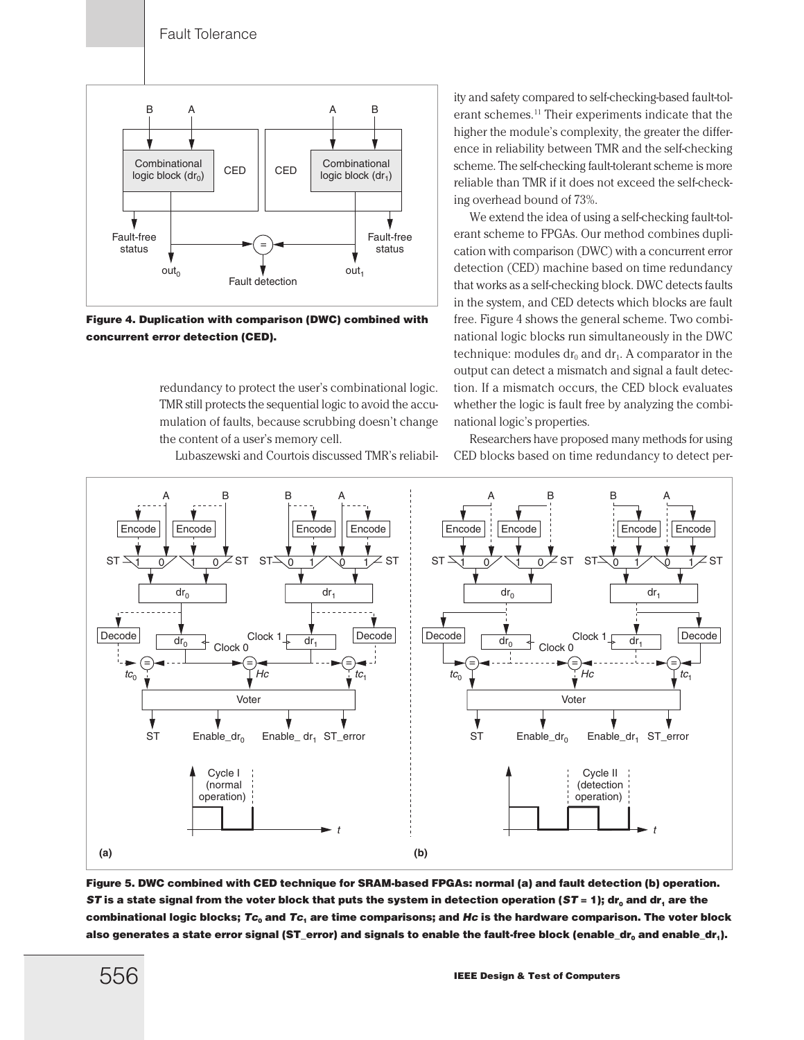

**Figure 4. Duplication with comparison (DWC) combined with concurrent error detection (CED).**

redundancy to protect the user's combinational logic. TMR still protects the sequential logic to avoid the accumulation of faults, because scrubbing doesn't change the content of a user's memory cell.

Lubaszewski and Courtois discussed TMR's reliabil-

ity and safety compared to self-checking-based fault-tolerant schemes.11 Their experiments indicate that the higher the module's complexity, the greater the difference in reliability between TMR and the self-checking scheme. The self-checking fault-tolerant scheme is more reliable than TMR if it does not exceed the self-checking overhead bound of 73%.

We extend the idea of using a self-checking fault-tolerant scheme to FPGAs. Our method combines duplication with comparison (DWC) with a concurrent error detection (CED) machine based on time redundancy that works as a self-checking block. DWC detects faults in the system, and CED detects which blocks are fault free. Figure 4 shows the general scheme. Two combinational logic blocks run simultaneously in the DWC technique: modules  $dr_0$  and  $dr_1$ . A comparator in the output can detect a mismatch and signal a fault detection. If a mismatch occurs, the CED block evaluates whether the logic is fault free by analyzing the combinational logic's properties.

Researchers have proposed many methods for using CED blocks based on time redundancy to detect per-



**Figure 5. DWC combined with CED technique for SRAM-based FPGAs: normal (a) and fault detection (b) operation. ST** is a state signal from the voter block that puts the system in detection operation (*ST* = 1); dr<sub>0</sub> and dr<sub>1</sub> are the **combinational logic blocks;** *Tc***<sup>0</sup> and** *Tc***<sup>1</sup> are time comparisons; and** *Hc* **is the hardware comparison. The voter block** also generates a state error signal (ST\_error) and signals to enable the fault-free block (enable\_dr<sub>a</sub> and enable\_dr<sub>1</sub>).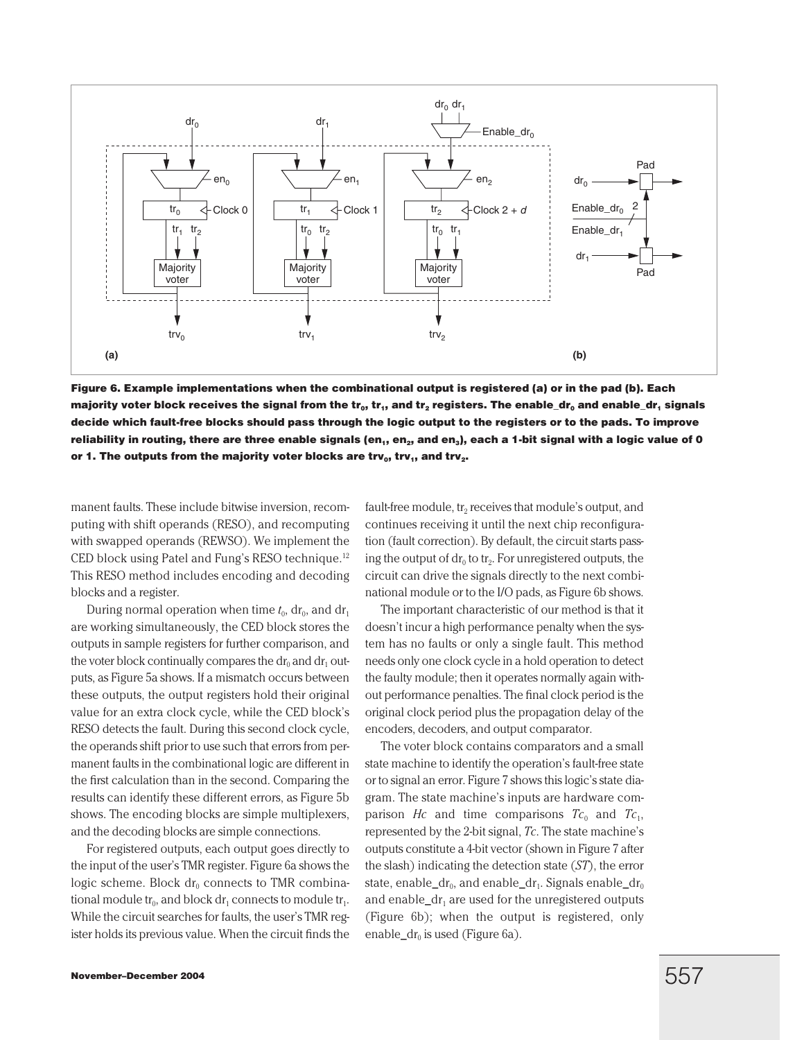

**Figure 6. Example implementations when the combinational output is registered (a) or in the pad (b). Each majority voter block receives the signal from the tr<sub>o</sub>, tr<sub>1</sub>, and tr<sub>2</sub> registers. The enable\_dr<sub>0</sub> and enable\_dr<sub>1</sub> signals decide which fault-free blocks should pass through the logic output to the registers or to the pads. To improve** reliability in routing, there are three enable signals (en<sub>1</sub>, en<sub>2</sub>, and en<sub>3</sub>), each a 1-bit signal with a logic value of 0 or 1. The outputs from the majority voter blocks are trv<sub>o</sub>, trv<sub>1</sub>, and trv<sub>2</sub>.

manent faults. These include bitwise inversion, recomputing with shift operands (RESO), and recomputing with swapped operands (REWSO). We implement the CED block using Patel and Fung's RESO technique.<sup>12</sup> This RESO method includes encoding and decoding blocks and a register.

During normal operation when time  $t_0$ , dr<sub>0</sub>, and dr<sub>1</sub> are working simultaneously, the CED block stores the outputs in sample registers for further comparison, and the voter block continually compares the  $dr_0$  and  $dr_1$  outputs, as Figure 5a shows. If a mismatch occurs between these outputs, the output registers hold their original value for an extra clock cycle, while the CED block's RESO detects the fault. During this second clock cycle, the operands shift prior to use such that errors from permanent faults in the combinational logic are different in the first calculation than in the second. Comparing the results can identify these different errors, as Figure 5b shows. The encoding blocks are simple multiplexers, and the decoding blocks are simple connections.

For registered outputs, each output goes directly to the input of the user's TMR register. Figure 6a shows the logic scheme. Block  $dr_0$  connects to TMR combinational module  $tr_0$ , and block dr<sub>1</sub> connects to module  $tr_1$ . While the circuit searches for faults, the user's TMR register holds its previous value. When the circuit finds the fault-free module,  $tr_2$  receives that module's output, and continues receiving it until the next chip reconfiguration (fault correction). By default, the circuit starts passing the output of  $dr_0$  to tr<sub>2</sub>. For unregistered outputs, the circuit can drive the signals directly to the next combinational module or to the I/O pads, as Figure 6b shows.

The important characteristic of our method is that it doesn't incur a high performance penalty when the system has no faults or only a single fault. This method needs only one clock cycle in a hold operation to detect the faulty module; then it operates normally again without performance penalties. The final clock period is the original clock period plus the propagation delay of the encoders, decoders, and output comparator.

The voter block contains comparators and a small state machine to identify the operation's fault-free state or to signal an error. Figure 7 shows this logic's state diagram. The state machine's inputs are hardware comparison *Hc* and time comparisons  $Tc_0$  and  $Tc_1$ , represented by the 2-bit signal, *Tc*. The state machine's outputs constitute a 4-bit vector (shown in Figure 7 after the slash) indicating the detection state (*ST*), the error state, enable\_dr<sub>0</sub>, and enable\_dr<sub>1</sub>. Signals enable\_dr<sub>0</sub> and enable\_dr<sub>1</sub> are used for the unregistered outputs (Figure 6b); when the output is registered, only enable\_dr<sub>0</sub> is used (Figure 6a).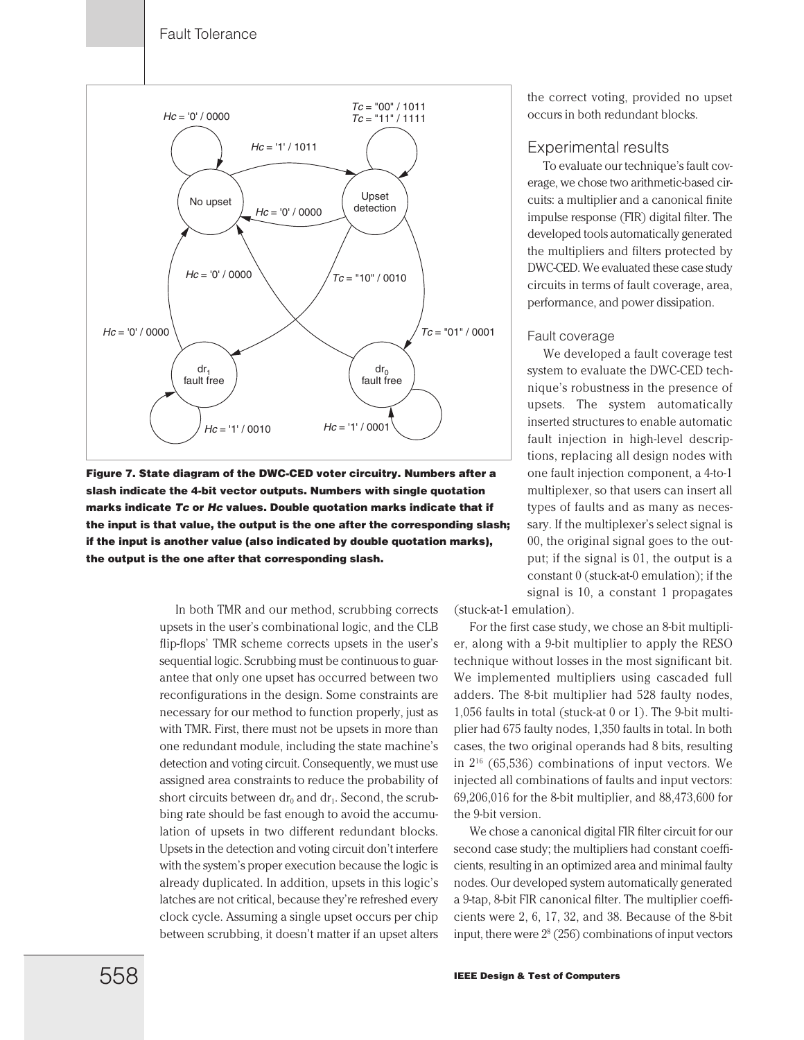

**Figure 7. State diagram of the DWC-CED voter circuitry. Numbers after a slash indicate the 4-bit vector outputs. Numbers with single quotation marks indicate** *Tc* **or** *Hc* **values. Double quotation marks indicate that if the input is that value, the output is the one after the corresponding slash; if the input is another value (also indicated by double quotation marks), the output is the one after that corresponding slash.**

In both TMR and our method, scrubbing corrects upsets in the user's combinational logic, and the CLB flip-flops' TMR scheme corrects upsets in the user's sequential logic. Scrubbing must be continuous to guarantee that only one upset has occurred between two reconfigurations in the design. Some constraints are necessary for our method to function properly, just as with TMR. First, there must not be upsets in more than one redundant module, including the state machine's detection and voting circuit. Consequently, we must use assigned area constraints to reduce the probability of short circuits between  $dr_0$  and  $dr_1$ . Second, the scrubbing rate should be fast enough to avoid the accumulation of upsets in two different redundant blocks. Upsets in the detection and voting circuit don't interfere with the system's proper execution because the logic is already duplicated. In addition, upsets in this logic's latches are not critical, because they're refreshed every clock cycle. Assuming a single upset occurs per chip between scrubbing, it doesn't matter if an upset alters the correct voting, provided no upset occurs in both redundant blocks.

# Experimental results

To evaluate our technique's fault coverage, we chose two arithmetic-based circuits: a multiplier and a canonical finite impulse response (FIR) digital filter. The developed tools automatically generated the multipliers and filters protected by DWC-CED. We evaluated these case study circuits in terms of fault coverage, area, performance, and power dissipation.

#### Fault coverage

We developed a fault coverage test system to evaluate the DWC-CED technique's robustness in the presence of upsets. The system automatically inserted structures to enable automatic fault injection in high-level descriptions, replacing all design nodes with one fault injection component, a 4-to-1 multiplexer, so that users can insert all types of faults and as many as necessary. If the multiplexer's select signal is 00, the original signal goes to the output; if the signal is 01, the output is a constant 0 (stuck-at-0 emulation); if the signal is 10, a constant 1 propagates

(stuck-at-1 emulation).

For the first case study, we chose an 8-bit multiplier, along with a 9-bit multiplier to apply the RESO technique without losses in the most significant bit. We implemented multipliers using cascaded full adders. The 8-bit multiplier had 528 faulty nodes, 1,056 faults in total (stuck-at 0 or 1). The 9-bit multiplier had 675 faulty nodes, 1,350 faults in total. In both cases, the two original operands had 8 bits, resulting in  $2^{16}$  (65,536) combinations of input vectors. We injected all combinations of faults and input vectors: 69,206,016 for the 8-bit multiplier, and 88,473,600 for the 9-bit version.

We chose a canonical digital FIR filter circuit for our second case study; the multipliers had constant coefficients, resulting in an optimized area and minimal faulty nodes. Our developed system automatically generated a 9-tap, 8-bit FIR canonical filter. The multiplier coefficients were 2, 6, 17, 32, and 38. Because of the 8-bit input, there were  $2<sup>8</sup>$  (256) combinations of input vectors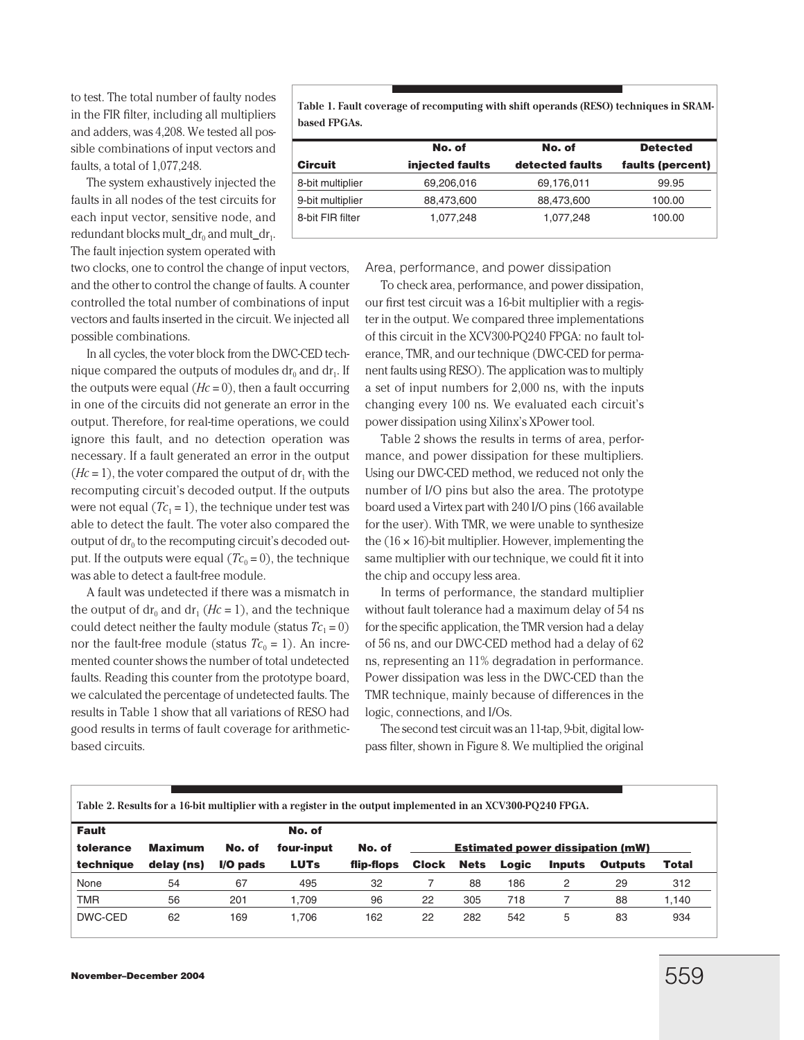to test. The total number of faulty nodes in the FIR filter, including all multipliers and adders, was 4,208. We tested all possible combinations of input vectors and faults, a total of 1,077,248.

The system exhaustively injected the faults in all nodes of the test circuits for each input vector, sensitive node, and redundant blocks mult\_dr<sub>0</sub> and mult\_dr<sub>1</sub>. The fault injection system operated with

two clocks, one to control the change of input vectors, and the other to control the change of faults. A counter controlled the total number of combinations of input vectors and faults inserted in the circuit. We injected all possible combinations.

In all cycles, the voter block from the DWC-CED technique compared the outputs of modules  $dr_0$  and  $dr_1$ . If the outputs were equal  $(Hc = 0)$ , then a fault occurring in one of the circuits did not generate an error in the output. Therefore, for real-time operations, we could ignore this fault, and no detection operation was necessary. If a fault generated an error in the output  $(Hc = 1)$ , the voter compared the output of  $dr_1$  with the recomputing circuit's decoded output. If the outputs were not equal  $(Tc_1 = 1)$ , the technique under test was able to detect the fault. The voter also compared the output of  $dr_0$  to the recomputing circuit's decoded output. If the outputs were equal  $(Tc_0 = 0)$ , the technique was able to detect a fault-free module.

A fault was undetected if there was a mismatch in the output of dr<sub>0</sub> and dr<sub>1</sub> (*Hc* = 1), and the technique could detect neither the faulty module (status  $Tc_1 = 0$ ) nor the fault-free module (status  $Tc_0 = 1$ ). An incremented counter shows the number of total undetected faults. Reading this counter from the prototype board, we calculated the percentage of undetected faults. The results in Table 1 show that all variations of RESO had good results in terms of fault coverage for arithmeticbased circuits.

**Table 1. Fault coverage of recomputing with shift operands (RESO) techniques in SRAMbased FPGAs.**

|                  | No. of          | No. of          | <b>Detected</b>  |  |  |
|------------------|-----------------|-----------------|------------------|--|--|
| <b>Circuit</b>   | injected faults | detected faults | faults (percent) |  |  |
| 8-bit multiplier | 69,206,016      | 69,176,011      | 99.95            |  |  |
| 9-bit multiplier | 88,473,600      | 88,473,600      | 100.00           |  |  |
| 8-bit FIR filter | 1,077,248       | 1,077,248       | 100.00           |  |  |
|                  |                 |                 |                  |  |  |

Area, performance, and power dissipation

To check area, performance, and power dissipation, our first test circuit was a 16-bit multiplier with a register in the output. We compared three implementations of this circuit in the XCV300-PQ240 FPGA: no fault tolerance, TMR, and our technique (DWC-CED for permanent faults using RESO). The application was to multiply a set of input numbers for 2,000 ns, with the inputs changing every 100 ns. We evaluated each circuit's power dissipation using Xilinx's XPower tool.

Table 2 shows the results in terms of area, performance, and power dissipation for these multipliers. Using our DWC-CED method, we reduced not only the number of I/O pins but also the area. The prototype board used a Virtex part with 240 I/O pins (166 available for the user). With TMR, we were unable to synthesize the  $(16 \times 16)$ -bit multiplier. However, implementing the same multiplier with our technique, we could fit it into the chip and occupy less area.

In terms of performance, the standard multiplier without fault tolerance had a maximum delay of 54 ns for the specific application, the TMR version had a delay of 56 ns, and our DWC-CED method had a delay of 62 ns, representing an 11% degradation in performance. Power dissipation was less in the DWC-CED than the TMR technique, mainly because of differences in the logic, connections, and I/Os.

The second test circuit was an 11-tap, 9-bit, digital lowpass filter, shown in Figure 8. We multiplied the original

| Table 2. Results for a 16-bit multiplier with a register in the output implemented in an XCV300-PQ240 FPGA. |            |            |             |            |                                         |             |       |               |                |       |
|-------------------------------------------------------------------------------------------------------------|------------|------------|-------------|------------|-----------------------------------------|-------------|-------|---------------|----------------|-------|
| <b>Fault</b>                                                                                                |            |            | No. of      |            |                                         |             |       |               |                |       |
| tolerance                                                                                                   | Maximum    | No. of     | four-input  | No. of     | <b>Estimated power dissipation (mW)</b> |             |       |               |                |       |
| technique                                                                                                   | delay (ns) | $I/O$ pads | <b>LUTs</b> | flip-flops | <b>Clock</b>                            | <b>Nets</b> | Logic | <b>Inputs</b> | <b>Outputs</b> | Total |
| None                                                                                                        | 54         | 67         | 495         | -32        |                                         | 88          | 186   |               | 29             | 312   |
| <b>TMR</b>                                                                                                  | 56         | 201        | 1.709       | 96         | 22                                      | 305         | 718   |               | 88             | 1,140 |
| DWC-CED                                                                                                     | 62         | 169        | 1.706       | 162        | 22                                      | 282         | 542   | 5             | 83             | 934   |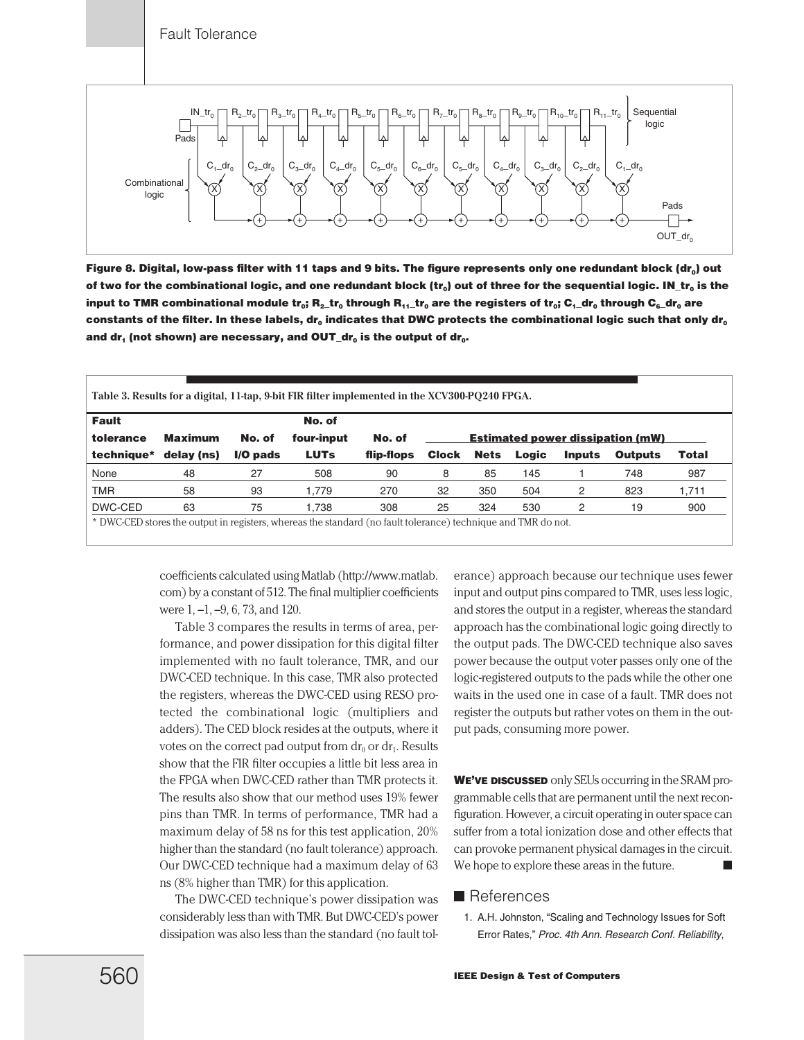

Figure 8. Digital, low-pass filter with 11 taps and 9 bits. The figure represents only one redundant block (dr<sub>o</sub>) out of two for the combinational logic, and one redundant block (tr<sub>0</sub>) out of three for the sequential logic. IN\_tr<sub>0</sub> is the **input to TMR combinational module tr<sub>o</sub>; R<sub>2</sub>tr<sub>0</sub> through R<sub>11</sub> tr<sub>0</sub> are the registers of tr<sub>o</sub>; C<sub>1</sub> dr<sub>0</sub> through C<sub>6</sub> dr<sub>0</sub> are** constants of the filter. In these labels, dr<sub>0</sub> indicates that DWC protects the combinational logic such that only dr<sub>0</sub> and dr<sub>1</sub> (not shown) are necessary, and OUT\_dr<sub>0</sub> is the output of dr<sub>0</sub>.

| <b>Fault</b> |                |            | No. of      |            |                                         |             |       |               |                |              |
|--------------|----------------|------------|-------------|------------|-----------------------------------------|-------------|-------|---------------|----------------|--------------|
| tolerance    | <b>Maximum</b> | No. of     | four-input  | No. of     | <b>Estimated power dissipation (mW)</b> |             |       |               |                |              |
| technique*   | delay (ns)     | $I/O$ pads | <b>LUTs</b> | flip-flops | <b>Clock</b>                            | <b>Nets</b> | Logic | <b>Inputs</b> | <b>Outputs</b> | <b>Total</b> |
| None         | 48             | 27         | 508         | 90         | 8                                       | 85          | 145   |               | 748            | 987          |
| <b>TMR</b>   | 58             | 93         | 1.779       | 270        | 32                                      | 350         | 504   | 2             | 823            | 1,711        |
| DWC-CED      | 63             | 75         | 1.738       | 308        | 25                                      | 324         | 530   | 2             | 19             | 900          |

coefficients calculated using Matlab (http://www.matlab. com) by a constant of 512. The final multiplier coefficients were 1, –1, –9, 6, 73, and 120.

Table 3 compares the results in terms of area, performance, and power dissipation for this digital filter implemented with no fault tolerance, TMR, and our DWC-CED technique. In this case, TMR also protected the registers, whereas the DWC-CED using RESO protected the combinational logic (multipliers and adders). The CED block resides at the outputs, where it votes on the correct pad output from  $dr_0$  or  $dr_1$ . Results show that the FIR filter occupies a little bit less area in the FPGA when DWC-CED rather than TMR protects it. The results also show that our method uses 19% fewer pins than TMR. In terms of performance, TMR had a maximum delay of 58 ns for this test application, 20% higher than the standard (no fault tolerance) approach. Our DWC-CED technique had a maximum delay of 63 ns (8% higher than TMR) for this application.

The DWC-CED technique's power dissipation was considerably less than with TMR. But DWC-CED's power dissipation was also less than the standard (no fault tolerance) approach because our technique uses fewer input and output pins compared to TMR, uses less logic, and stores the output in a register, whereas the standard approach has the combinational logic going directly to the output pads. The DWC-CED technique also saves power because the output voter passes only one of the logic-registered outputs to the pads while the other one waits in the used one in case of a fault. TMR does not register the outputs but rather votes on them in the output pads, consuming more power.

**WE'VE DISCUSSED** only SEUs occurring in the SRAM programmable cells that are permanent until the next reconfiguration. However, a circuit operating in outer space can suffer from a total ionization dose and other effects that can provoke permanent physical damages in the circuit. We hope to explore these areas in the future.

# **References**

1. A.H. Johnston, "Scaling and Technology Issues for Soft Error Rates," *Proc. 4th Ann. Research Conf. Reliability*,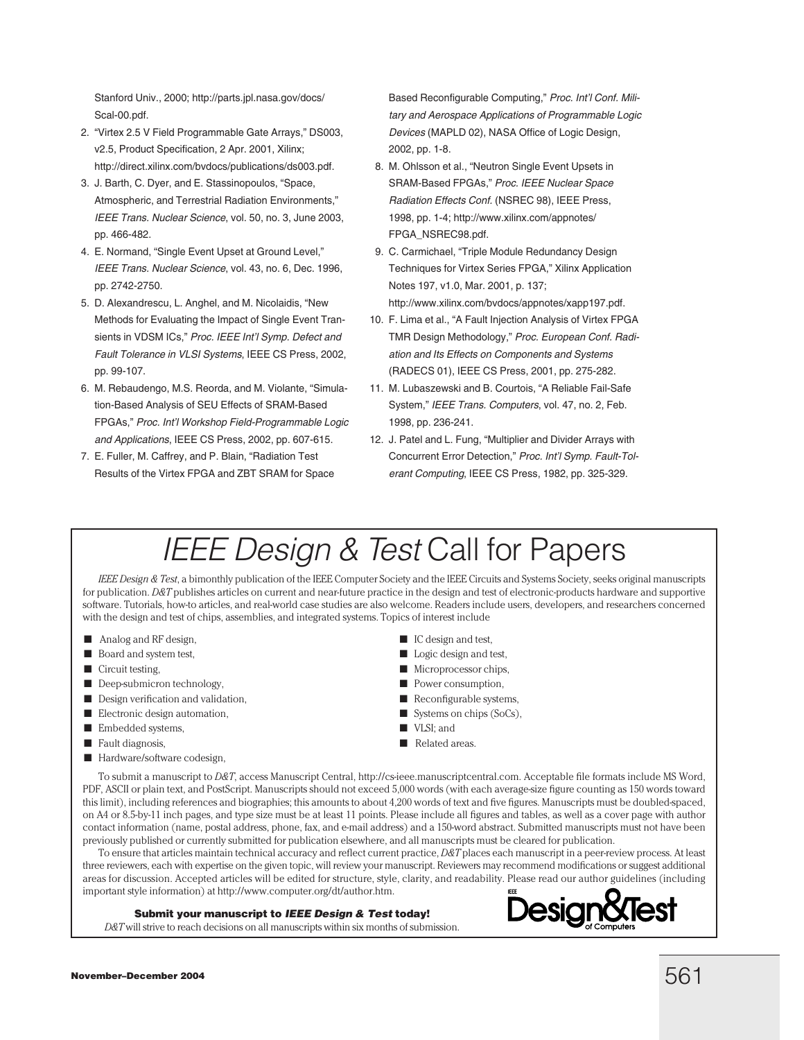Stanford Univ., 2000; http://parts.jpl.nasa.gov/docs/ Scal-00.pdf.

- 2. "Virtex 2.5 V Field Programmable Gate Arrays," DS003, v2.5, Product Specification, 2 Apr. 2001, Xilinx; http://direct.xilinx.com/bvdocs/publications/ds003.pdf.
- 3. J. Barth, C. Dyer, and E. Stassinopoulos, "Space, Atmospheric, and Terrestrial Radiation Environments," *IEEE Trans. Nuclear Science*, vol. 50, no. 3, June 2003, pp. 466-482.
- 4. E. Normand, "Single Event Upset at Ground Level," *IEEE Trans. Nuclear Science*, vol. 43, no. 6, Dec. 1996, pp. 2742-2750.
- 5. D. Alexandrescu, L. Anghel, and M. Nicolaidis, "New Methods for Evaluating the Impact of Single Event Transients in VDSM ICs," *Proc. IEEE Int'l Symp. Defect and Fault Tolerance in VLSI Systems*, IEEE CS Press, 2002, pp. 99-107.
- 6. M. Rebaudengo, M.S. Reorda, and M. Violante, "Simulation-Based Analysis of SEU Effects of SRAM-Based FPGAs," *Proc. Int'l Workshop Field-Programmable Logic and Applications*, IEEE CS Press, 2002, pp. 607-615.
- 7. E. Fuller, M. Caffrey, and P. Blain, "Radiation Test Results of the Virtex FPGA and ZBT SRAM for Space

Based Reconfigurable Computing," *Proc. Int'l Conf. Military and Aerospace Applications of Programmable Logic Devices* (MAPLD 02), NASA Office of Logic Design, 2002, pp. 1-8.

- 8. M. Ohlsson et al., "Neutron Single Event Upsets in SRAM-Based FPGAs," *Proc. IEEE Nuclear Space Radiation Effects Conf.* (NSREC 98), IEEE Press, 1998, pp. 1-4; http://www.xilinx.com/appnotes/ FPGA\_NSREC98.pdf.
- 9. C. Carmichael, "Triple Module Redundancy Design Techniques for Virtex Series FPGA," Xilinx Application Notes 197, v1.0, Mar. 2001, p. 137; http://www.xilinx.com/bvdocs/appnotes/xapp197.pdf.
- 10. F. Lima et al., "A Fault Injection Analysis of Virtex FPGA TMR Design Methodology," *Proc. European Conf. Radiation and Its Effects on Components and Systems* (RADECS 01), IEEE CS Press, 2001, pp. 275-282.
- 11. M. Lubaszewski and B. Courtois, "A Reliable Fail-Safe System," *IEEE Trans. Computers*, vol. 47, no. 2, Feb. 1998, pp. 236-241.
- 12. J. Patel and L. Fung, "Multiplier and Divider Arrays with Concurrent Error Detection," *Proc. Int'l Symp. Fault-Tolerant Computing*, IEEE CS Press, 1982, pp. 325-329.

# *IEEE Design & Test* Call for Papers

*IEEE Design & Test*, a bimonthly publication of the IEEE Computer Society and the IEEE Circuits and Systems Society, seeks original manuscripts for publication. *D&T* publishes articles on current and near-future practice in the design and test of electronic-products hardware and supportive software. Tutorials, how-to articles, and real-world case studies are also welcome. Readers include users, developers, and researchers concerned with the design and test of chips, assemblies, and integrated systems. Topics of interest include

- Analog and RF design,
- Board and system test,
- Circuit testing,
- Deep-submicron technology,
- Design verification and validation,
- Electronic design automation,
- Embedded systems,
- Fault diagnosis,
- Hardware/software codesign,
- IC design and test,
- Logic design and test,
- Microprocessor chips,
- Power consumption,
- Reconfigurable systems,
- Systems on chips (SoCs),
- VLSI: and
- Related areas.

To submit a manuscript to *D&T*, access Manuscript Central, http://cs-ieee.manuscriptcentral.com. Acceptable file formats include MS Word, PDF, ASCII or plain text, and PostScript. Manuscripts should not exceed 5,000 words (with each average-size figure counting as 150 words toward this limit), including references and biographies; this amounts to about 4,200 words of text and five figures. Manuscripts must be doubled-spaced, on A4 or 8.5-by-11 inch pages, and type size must be at least 11 points. Please include all figures and tables, as well as a cover page with author contact information (name, postal address, phone, fax, and e-mail address) and a 150-word abstract. Submitted manuscripts must not have been previously published or currently submitted for publication elsewhere, and all manuscripts must be cleared for publication.

To ensure that articles maintain technical accuracy and reflect current practice, *D&T* places each manuscript in a peer-review process. At least three reviewers, each with expertise on the given topic, will review your manuscript. Reviewers may recommend modifications or suggest additional areas for discussion. Accepted articles will be edited for structure, style, clarity, and readability. Please read our author guidelines (including important style information) at http://www.computer.org/dt/author.htm.

#### **Submit your manuscript to** *IEEE Design & Test* **today!**

*D&T* will strive to reach decisions on all manuscripts within six months of submission.